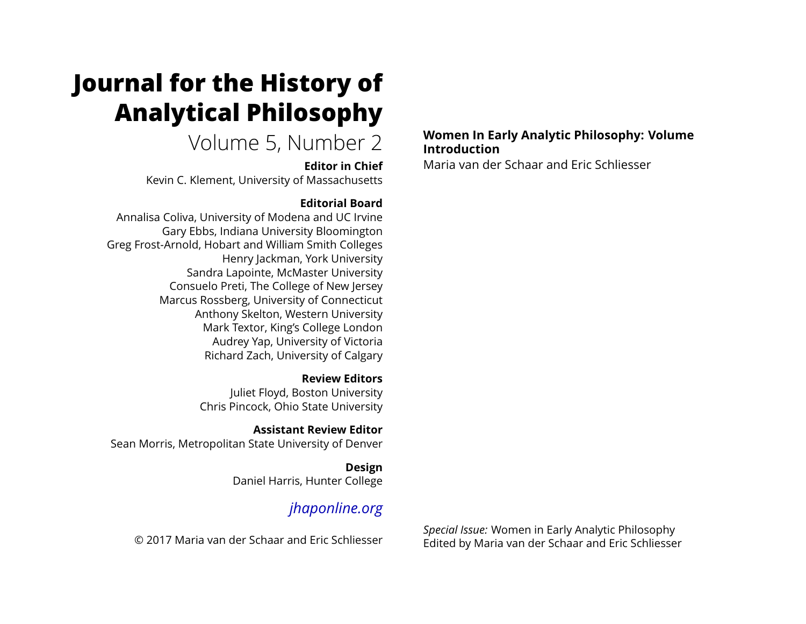# **Journal for the History of Analytical Philosophy**

# Volume 5, Number 2

#### **Editor in Chief**

Kevin C. Klement, University of Massachusetts

### **Editorial Board**

Annalisa Coliva, University of Modena and UC Irvine Gary Ebbs, Indiana University Bloomington Greg Frost-Arnold, Hobart and William Smith Colleges Henry Jackman, York University Sandra Lapointe, McMaster University Consuelo Preti, The College of New Jersey Marcus Rossberg, University of Connecticut Anthony Skelton, Western University Mark Textor, King's College London Audrey Yap, University of Victoria Richard Zach, University of Calgary

> **Review Editors** Juliet Floyd, Boston University Chris Pincock, Ohio State University

**Assistant Review Editor** Sean Morris, Metropolitan State University of Denver

> **Design** Daniel Harris, Hunter College

## *[jhaponline.org](https://jhaponline.org)*

© 2017 Maria van der Schaar and Eric Schliesser

#### **Women In Early Analytic Philosophy: Volume Introduction**

Maria van der Schaar and Eric Schliesser

*Special Issue:* Women in Early Analytic Philosophy Edited by Maria van der Schaar and Eric Schliesser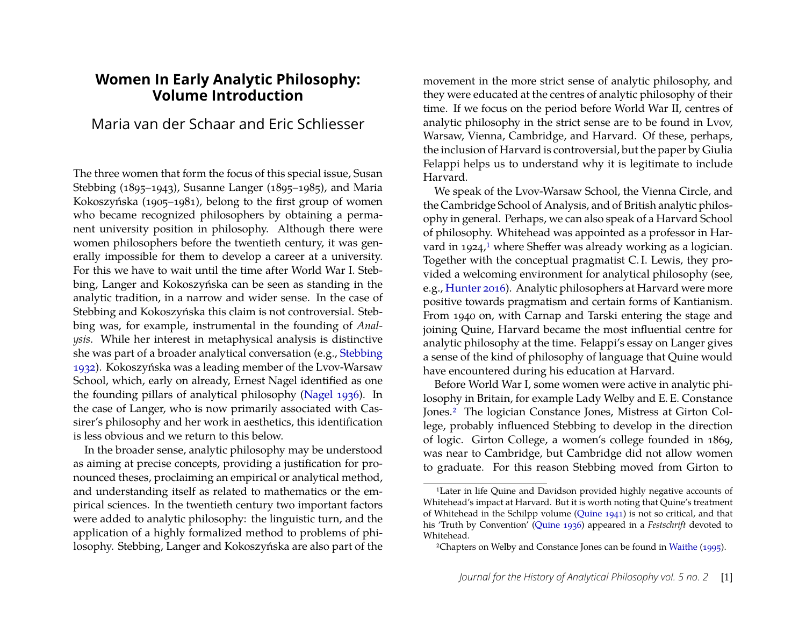#### **Women In Early Analytic Philosophy: Volume Introduction**

### Maria van der Schaar and Eric Schliesser

The three women that form the focus of this special issue, Susan Stebbing (1895–1943), Susanne Langer (1895–1985), and Maria Kokoszyńska (1905–1981), belong to the first group of women who became recognized philosophers by obtaining a permanent university position in philosophy. Although there were women philosophers before the twentieth century, it was generally impossible for them to develop a career at a university. For this we have to wait until the time after World War I. Stebbing, Langer and Kokoszyńska can be seen as standing in the analytic tradition, in a narrow and wider sense. In the case of Stebbing and Kokoszyńska this claim is not controversial. Stebbing was, for example, instrumental in the founding of *Analysis*. While her interest in metaphysical analysis is distinctive she was part of a broader analytical conversation (e.g., [Stebbing](#page-5-0) [1932\)](#page-5-0). Kokoszyńska was a leading member of the Lvov-Warsaw School, which, early on already, Ernest Nagel identified as one the founding pillars of analytical philosophy [\(Nagel 1936\)](#page-5-1). In the case of Langer, who is now primarily associated with Cassirer's philosophy and her work in aesthetics, this identification is less obvious and we return to this below.

In the broader sense, analytic philosophy may be understood as aiming at precise concepts, providing a justification for pronounced theses, proclaiming an empirical or analytical method, and understanding itself as related to mathematics or the empirical sciences. In the twentieth century two important factors were added to analytic philosophy: the linguistic turn, and the application of a highly formalized method to problems of philosophy. Stebbing, Langer and Kokoszyńska are also part of the movement in the more strict sense of analytic philosophy, and they were educated at the centres of analytic philosophy of their time. If we focus on the period before World War II, centres of analytic philosophy in the strict sense are to be found in Lvov, Warsaw, Vienna, Cambridge, and Harvard. Of these, perhaps, the inclusion of Harvard is controversial, but the paper by Giulia Felappi helps us to understand why it is legitimate to include Harvard.

We speak of the Lvov-Warsaw School, the Vienna Circle, and the Cambridge School of Analysis, and of British analytic philosophy in general. Perhaps, we can also speak of a Harvard School of philosophy. Whitehead was appointed as a professor in Har-vard in [1](#page-1-0)924,<sup>1</sup> where Sheffer was already working as a logician. Together with the conceptual pragmatist C. I. Lewis, they provided a welcoming environment for analytical philosophy (see, e.g., [Hunter 2016\)](#page-5-2). Analytic philosophers at Harvard were more positive towards pragmatism and certain forms of Kantianism. From 1940 on, with Carnap and Tarski entering the stage and joining Quine, Harvard became the most influential centre for analytic philosophy at the time. Felappi's essay on Langer gives a sense of the kind of philosophy of language that Quine would have encountered during his education at Harvard.

Before World War I, some women were active in analytic philosophy in Britain, for example Lady Welby and E. E. Constance Jones.[2](#page-1-1) The logician Constance Jones, Mistress at Girton College, probably influenced Stebbing to develop in the direction of logic. Girton College, a women's college founded in 1869, was near to Cambridge, but Cambridge did not allow women to graduate. For this reason Stebbing moved from Girton to

<span id="page-1-0"></span><sup>1</sup>Later in life Quine and Davidson provided highly negative accounts of Whitehead's impact at Harvard. But it is worth noting that Quine's treatment of Whitehead in the Schilpp volume [\(Quine 1941\)](#page-5-3) is not so critical, and that his 'Truth by Convention' [\(Quine 1936\)](#page-5-4) appeared in a *Festschrift* devoted to Whitehead.

<span id="page-1-1"></span><sup>2</sup>Chapters on Welby and Constance Jones can be found in [Waithe](#page-5-5) [\(1995\)](#page-5-5).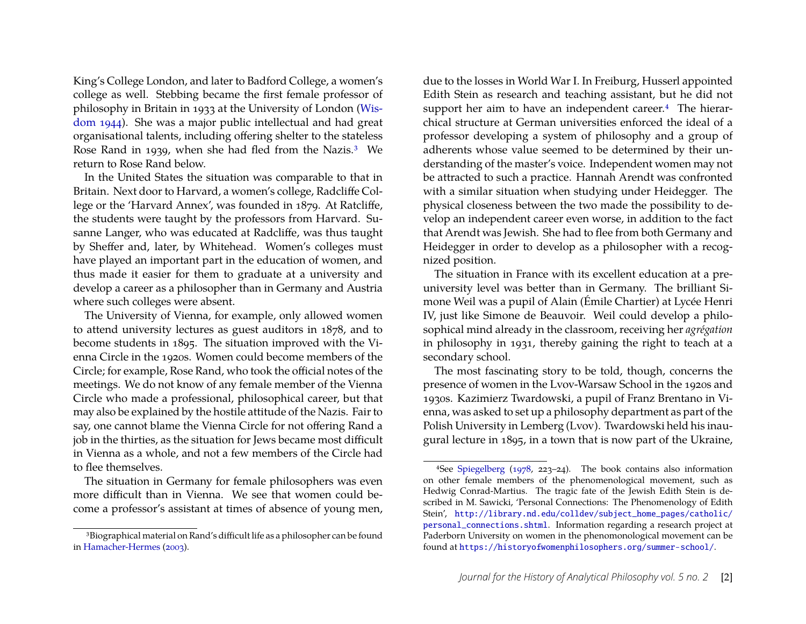King's College London, and later to Badford College, a women's college as well. Stebbing became the first female professor of philosophy in Britain in 1933 at the University of London [\(Wis](#page-5-6)[dom 1944\)](#page-5-6). She was a major public intellectual and had great organisational talents, including offering shelter to the stateless Rose Rand in 1939, when she had fled from the Nazis.[3](#page-2-0) We return to Rose Rand below.

In the United States the situation was comparable to that in Britain. Next door to Harvard, a women's college, Radcliffe College or the 'Harvard Annex', was founded in 1879. At Ratcliffe, the students were taught by the professors from Harvard. Susanne Langer, who was educated at Radcliffe, was thus taught by Sheffer and, later, by Whitehead. Women's colleges must have played an important part in the education of women, and thus made it easier for them to graduate at a university and develop a career as a philosopher than in Germany and Austria where such colleges were absent.

The University of Vienna, for example, only allowed women to attend university lectures as guest auditors in 1878, and to become students in 1895. The situation improved with the Vienna Circle in the 1920s. Women could become members of the Circle; for example, Rose Rand, who took the official notes of the meetings. We do not know of any female member of the Vienna Circle who made a professional, philosophical career, but that may also be explained by the hostile attitude of the Nazis. Fair to say, one cannot blame the Vienna Circle for not offering Rand a job in the thirties, as the situation for Jews became most difficult in Vienna as a whole, and not a few members of the Circle had to flee themselves.

The situation in Germany for female philosophers was even more difficult than in Vienna. We see that women could become a professor's assistant at times of absence of young men, due to the losses in World War I. In Freiburg, Husserl appointed Edith Stein as research and teaching assistant, but he did not support her aim to have an independent career.<sup>[4](#page-2-1)</sup> The hierarchical structure at German universities enforced the ideal of a professor developing a system of philosophy and a group of adherents whose value seemed to be determined by their understanding of the master's voice. Independent women may not be attracted to such a practice. Hannah Arendt was confronted with a similar situation when studying under Heidegger. The physical closeness between the two made the possibility to develop an independent career even worse, in addition to the fact that Arendt was Jewish. She had to flee from both Germany and Heidegger in order to develop as a philosopher with a recognized position.

The situation in France with its excellent education at a preuniversity level was better than in Germany. The brilliant Simone Weil was a pupil of Alain (Émile Chartier) at Lycée Henri IV, just like Simone de Beauvoir. Weil could develop a philosophical mind already in the classroom, receiving her *agrégation* in philosophy in 1931, thereby gaining the right to teach at a secondary school.

The most fascinating story to be told, though, concerns the presence of women in the Lvov-Warsaw School in the 1920s and 1930s. Kazimierz Twardowski, a pupil of Franz Brentano in Vienna, was asked to set up a philosophy department as part of the Polish University in Lemberg (Lvov). Twardowski held his inaugural lecture in 1895, in a town that is now part of the Ukraine,

<span id="page-2-0"></span><sup>3</sup>Biographical material on Rand's difficult life as a philosopher can be found in [Hamacher-Hermes](#page-5-7) [\(2003\)](#page-5-7).

<span id="page-2-1"></span><sup>4</sup>See [Spiegelberg](#page-5-8) [\(1978,](#page-5-8) 223–24). The book contains also information on other female members of the phenomenological movement, such as Hedwig Conrad-Martius. The tragic fate of the Jewish Edith Stein is described in M. Sawicki, 'Personal Connections: The Phenomenology of Edith Stein', [http://library.nd.edu/colldev/subject\\_home\\_pages/catholic/](http://library.nd.edu/colldev/subject_home_pages/catholic/personal_connections.shtml) [personal\\_connections.shtml](http://library.nd.edu/colldev/subject_home_pages/catholic/personal_connections.shtml). Information regarding a research project at Paderborn University on women in the phenomonological movement can be found at <https://historyofwomenphilosophers.org/summer-school/>.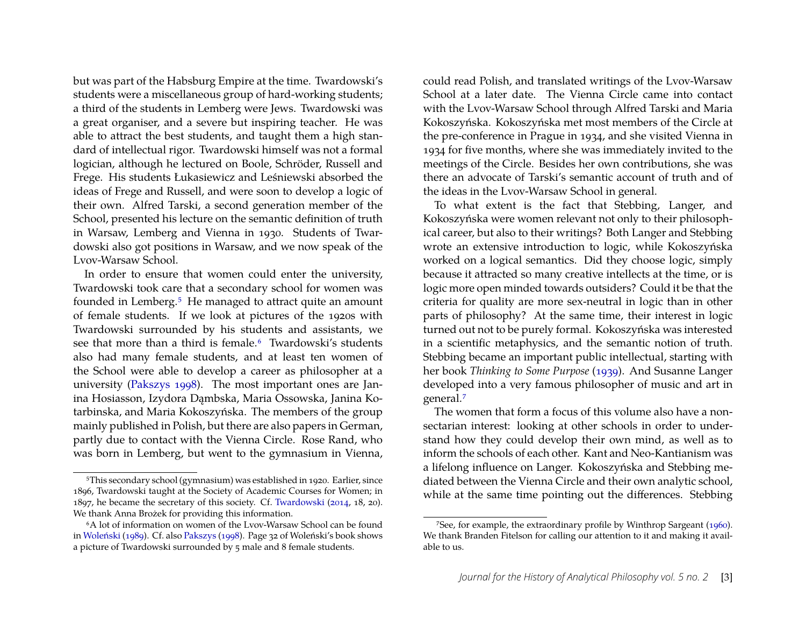but was part of the Habsburg Empire at the time. Twardowski's students were a miscellaneous group of hard-working students; a third of the students in Lemberg were Jews. Twardowski was a great organiser, and a severe but inspiring teacher. He was able to attract the best students, and taught them a high standard of intellectual rigor. Twardowski himself was not a formal logician, although he lectured on Boole, Schröder, Russell and Frege. His students Łukasiewicz and Leśniewski absorbed the ideas of Frege and Russell, and were soon to develop a logic of their own. Alfred Tarski, a second generation member of the School, presented his lecture on the semantic definition of truth in Warsaw, Lemberg and Vienna in 1930. Students of Twardowski also got positions in Warsaw, and we now speak of the Lvov-Warsaw School.

In order to ensure that women could enter the university, Twardowski took care that a secondary school for women was founded in Lemberg.[5](#page-3-0) He managed to attract quite an amount of female students. If we look at pictures of the 1920s with Twardowski surrounded by his students and assistants, we see that more than a third is female.<sup>[6](#page-3-1)</sup> Twardowski's students also had many female students, and at least ten women of the School were able to develop a career as philosopher at a university [\(Pakszys 1998\)](#page-5-9). The most important ones are Janina Hosiasson, Izydora Dambska, Maria Ossowska, Janina Kotarbinska, and Maria Kokoszyńska. The members of the group mainly published in Polish, but there are also papers in German, partly due to contact with the Vienna Circle. Rose Rand, who was born in Lemberg, but went to the gymnasium in Vienna,

could read Polish, and translated writings of the Lvov-Warsaw School at a later date. The Vienna Circle came into contact with the Lvov-Warsaw School through Alfred Tarski and Maria Kokoszyńska. Kokoszyńska met most members of the Circle at the pre-conference in Prague in 1934, and she visited Vienna in 1934 for five months, where she was immediately invited to the meetings of the Circle. Besides her own contributions, she was there an advocate of Tarski's semantic account of truth and of the ideas in the Lvov-Warsaw School in general.

To what extent is the fact that Stebbing, Langer, and Kokoszyńska were women relevant not only to their philosophical career, but also to their writings? Both Langer and Stebbing wrote an extensive introduction to logic, while Kokoszyńska worked on a logical semantics. Did they choose logic, simply because it attracted so many creative intellects at the time, or is logic more open minded towards outsiders? Could it be that the criteria for quality are more sex-neutral in logic than in other parts of philosophy? At the same time, their interest in logic turned out not to be purely formal. Kokoszyńska was interested in a scientific metaphysics, and the semantic notion of truth. Stebbing became an important public intellectual, starting with her book *Thinking to Some Purpose* [\(1939\)](#page-5-12). And Susanne Langer developed into a very famous philosopher of music and art in general.[7](#page-3-2)

The women that form a focus of this volume also have a nonsectarian interest: looking at other schools in order to understand how they could develop their own mind, as well as to inform the schools of each other. Kant and Neo-Kantianism was a lifelong influence on Langer. Kokoszyńska and Stebbing mediated between the Vienna Circle and their own analytic school, while at the same time pointing out the differences. Stebbing

<span id="page-3-0"></span><sup>5</sup>This secondary school (gymnasium) was established in 1920. Earlier, since 1896, Twardowski taught at the Society of Academic Courses for Women; in 1897, he became the secretary of this society. Cf. [Twardowski](#page-5-10) [\(2014,](#page-5-10) 18, 20). We thank Anna Brożek for providing this information.

<span id="page-3-1"></span><sup>6</sup>A lot of information on women of the Lvov-Warsaw School can be found in [Woleński](#page-5-11) [\(1989\)](#page-5-11). Cf. also [Pakszys](#page-5-9) [\(1998\)](#page-5-9). Page 32 of Woleński's book shows a picture of Twardowski surrounded by 5 male and 8 female students.

<span id="page-3-2"></span><sup>7</sup>See, for example, the extraordinary profile by Winthrop Sargeant [\(1960\)](#page-5-13). We thank Branden Fitelson for calling our attention to it and making it available to us.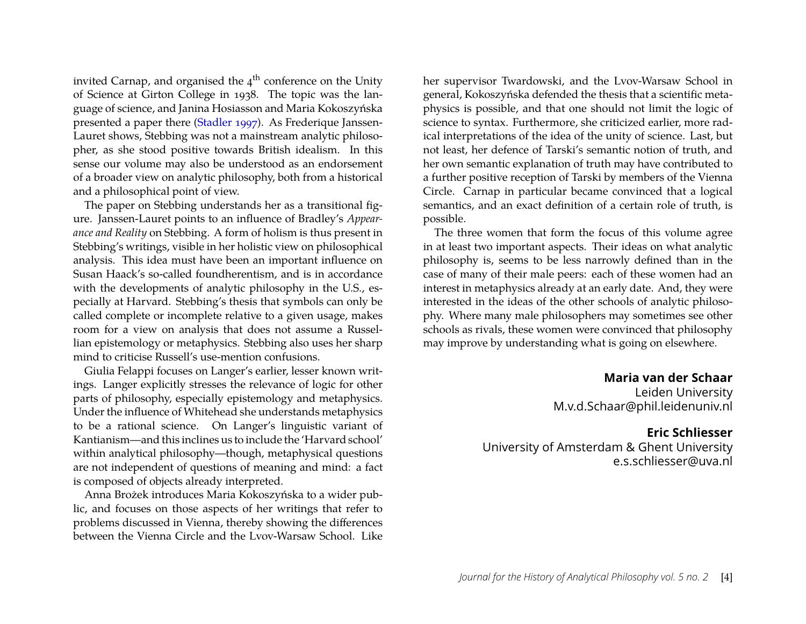invited Carnap, and organised the  $4<sup>th</sup>$  conference on the Unity of Science at Girton College in 1938. The topic was the language of science, and Janina Hosiasson and Maria Kokoszyńska presented a paper there [\(Stadler 1997\)](#page-5-14). As Frederique Janssen-Lauret shows, Stebbing was not a mainstream analytic philosopher, as she stood positive towards British idealism. In this sense our volume may also be understood as an endorsement of a broader view on analytic philosophy, both from a historical and a philosophical point of view.

The paper on Stebbing understands her as a transitional figure. Janssen-Lauret points to an influence of Bradley's *Appearance and Reality* on Stebbing. A form of holism is thus present in Stebbing's writings, visible in her holistic view on philosophical analysis. This idea must have been an important influence on Susan Haack's so-called foundherentism, and is in accordance with the developments of analytic philosophy in the U.S., especially at Harvard. Stebbing's thesis that symbols can only be called complete or incomplete relative to a given usage, makes room for a view on analysis that does not assume a Russellian epistemology or metaphysics. Stebbing also uses her sharp mind to criticise Russell's use-mention confusions.

Giulia Felappi focuses on Langer's earlier, lesser known writings. Langer explicitly stresses the relevance of logic for other parts of philosophy, especially epistemology and metaphysics. Under the influence of Whitehead she understands metaphysics to be a rational science. On Langer's linguistic variant of Kantianism—and this inclines us to include the 'Harvard school' within analytical philosophy—though, metaphysical questions are not independent of questions of meaning and mind: a fact is composed of objects already interpreted.

Anna Brożek introduces Maria Kokoszyńska to a wider public, and focuses on those aspects of her writings that refer to problems discussed in Vienna, thereby showing the differences between the Vienna Circle and the Lvov-Warsaw School. Like her supervisor Twardowski, and the Lvov-Warsaw School in general, Kokoszyńska defended the thesis that a scientific metaphysics is possible, and that one should not limit the logic of science to syntax. Furthermore, she criticized earlier, more radical interpretations of the idea of the unity of science. Last, but not least, her defence of Tarski's semantic notion of truth, and her own semantic explanation of truth may have contributed to a further positive reception of Tarski by members of the Vienna Circle. Carnap in particular became convinced that a logical semantics, and an exact definition of a certain role of truth, is possible.

The three women that form the focus of this volume agree in at least two important aspects. Their ideas on what analytic philosophy is, seems to be less narrowly defined than in the case of many of their male peers: each of these women had an interest in metaphysics already at an early date. And, they were interested in the ideas of the other schools of analytic philosophy. Where many male philosophers may sometimes see other schools as rivals, these women were convinced that philosophy may improve by understanding what is going on elsewhere.

> **Maria van der Schaar** Leiden University

M.v.d.Schaar@phil.leidenuniv.nl

#### **Eric Schliesser**

University of Amsterdam & Ghent University e.s.schliesser@uva.nl